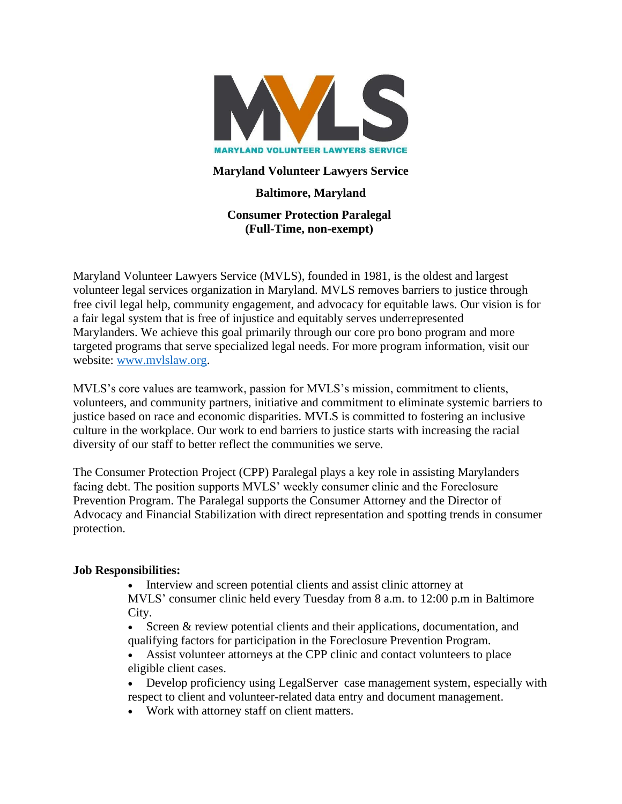

### **Maryland Volunteer Lawyers Service**

# **Baltimore, Maryland**

**Consumer Protection Paralegal (Full-Time, non-exempt)**

Maryland Volunteer Lawyers Service (MVLS), founded in 1981, is the oldest and largest volunteer legal services organization in Maryland. MVLS removes barriers to justice through free civil legal help, community engagement, and advocacy for equitable laws. Our vision is for a fair legal system that is free of injustice and equitably serves underrepresented Marylanders. We achieve this goal primarily through our core pro bono program and more targeted programs that serve specialized legal needs. For more program information, visit our website: www.mvlslaw.org.

MVLS's core values are teamwork, passion for MVLS's mission, commitment to clients, volunteers, and community partners, initiative and commitment to eliminate systemic barriers to justice based on race and economic disparities. MVLS is committed to fostering an inclusive culture in the workplace. Our work to end barriers to justice starts with increasing the racial diversity of our staff to better reflect the communities we serve.

The Consumer Protection Project (CPP) Paralegal plays a key role in assisting Marylanders facing debt. The position supports MVLS' weekly consumer clinic and the Foreclosure Prevention Program. The Paralegal supports the Consumer Attorney and the Director of Advocacy and Financial Stabilization with direct representation and spotting trends in consumer protection.

#### **Job Responsibilities:**

• Interview and screen potential clients and assist clinic attorney at MVLS' consumer clinic held every Tuesday from 8 a.m. to 12:00 p.m in Baltimore City.

• Screen & review potential clients and their applications, documentation, and qualifying factors for participation in the Foreclosure Prevention Program.

• Assist volunteer attorneys at the CPP clinic and contact volunteers to place eligible client cases.

• Develop proficiency using LegalServer case management system, especially with respect to client and volunteer-related data entry and document management.

• Work with attorney staff on client matters.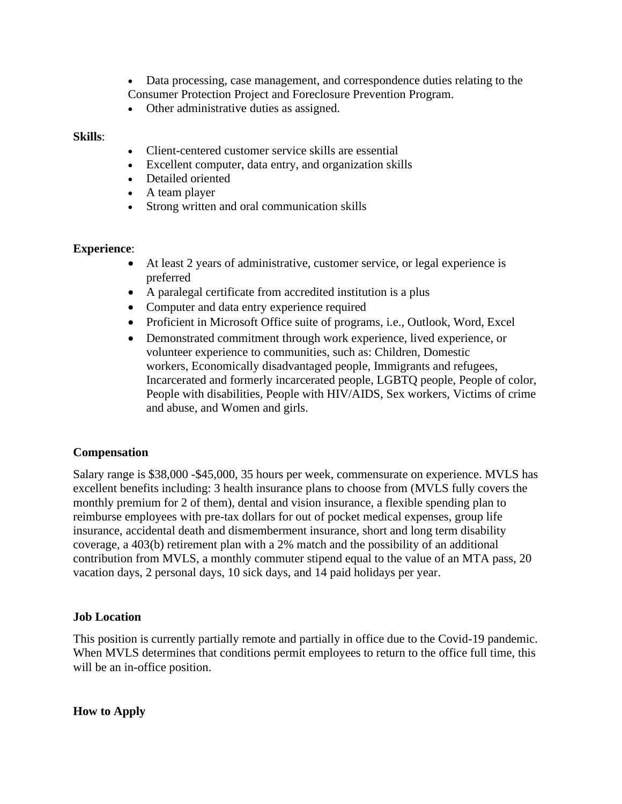• Data processing, case management, and correspondence duties relating to the Consumer Protection Project and Foreclosure Prevention Program.

• Other administrative duties as assigned.

#### **Skills**:

- Client-centered customer service skills are essential
- Excellent computer, data entry, and organization skills
- Detailed oriented
- A team player
- Strong written and oral communication skills

#### **Experience**:

- At least 2 years of administrative, customer service, or legal experience is preferred
- A paralegal certificate from accredited institution is a plus
- Computer and data entry experience required
- Proficient in Microsoft Office suite of programs, i.e., Outlook, Word, Excel
- Demonstrated commitment through work experience, lived experience, or volunteer experience to communities, such as: Children, Domestic workers, Economically disadvantaged people, Immigrants and refugees, Incarcerated and formerly incarcerated people, LGBTQ people, People of color, People with disabilities, People with HIV/AIDS, Sex workers, Victims of crime and abuse, and Women and girls.

## **Compensation**

Salary range is \$38,000 -\$45,000, 35 hours per week, commensurate on experience. MVLS has excellent benefits including: 3 health insurance plans to choose from (MVLS fully covers the monthly premium for 2 of them), dental and vision insurance, a flexible spending plan to reimburse employees with pre-tax dollars for out of pocket medical expenses, group life insurance, accidental death and dismemberment insurance, short and long term disability coverage, a 403(b) retirement plan with a 2% match and the possibility of an additional contribution from MVLS, a monthly commuter stipend equal to the value of an MTA pass, 20 vacation days, 2 personal days, 10 sick days, and 14 paid holidays per year.

#### **Job Location**

This position is currently partially remote and partially in office due to the Covid-19 pandemic. When MVLS determines that conditions permit employees to return to the office full time, this will be an in-office position.

**How to Apply**